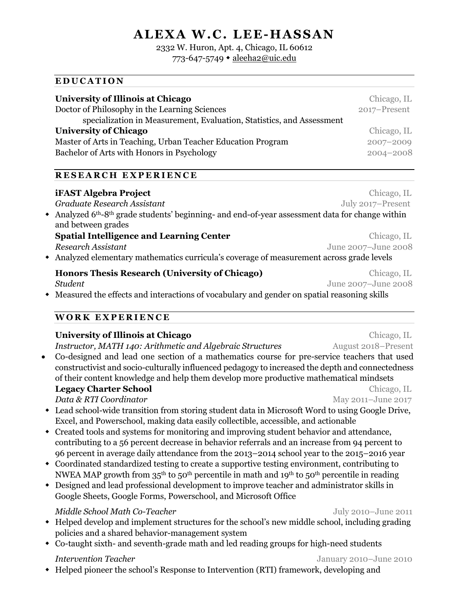# **ALEXA W.C. LEE-HASSAN**

# 2332 W. Huron, Apt. 4, Chicago, IL 60612

773-647-5749 · aleeha2@uic.edu

| University of Illinois at Chicago                                     | Chicago, IL  |
|-----------------------------------------------------------------------|--------------|
| Doctor of Philosophy in the Learning Sciences                         | 2017-Present |
| specialization in Measurement, Evaluation, Statistics, and Assessment |              |
| <b>University of Chicago</b>                                          | Chicago, IL  |
| Master of Arts in Teaching, Urban Teacher Education Program           | 2007-2009    |
| Bachelor of Arts with Honors in Psychology                            | 2004-2008    |
|                                                                       |              |

### **RESEARCH EXPERIENCE**

**EDUCATION**

| Graduate Research Assistant<br>$\bullet$ Analyzed 6 <sup>th</sup> -8 <sup>th</sup> grade students' beginning- and end-of-year assessment data for change within<br>and between grades<br><b>Spatial Intelligence and Learning Center</b><br>Research Assistant<br>Honors Thesis Research (University of Chicago)<br><b>Student</b> | <b>iFAST Algebra Project</b> | Chicago, IL         |  |
|------------------------------------------------------------------------------------------------------------------------------------------------------------------------------------------------------------------------------------------------------------------------------------------------------------------------------------|------------------------------|---------------------|--|
|                                                                                                                                                                                                                                                                                                                                    |                              | July 2017-Present   |  |
| • Analyzed elementary mathematics curricula's coverage of measurement across grade levels<br>• Measured the effects and interactions of vocabulary and gender on spatial reasoning skills                                                                                                                                          |                              |                     |  |
|                                                                                                                                                                                                                                                                                                                                    |                              |                     |  |
|                                                                                                                                                                                                                                                                                                                                    |                              | Chicago, IL         |  |
|                                                                                                                                                                                                                                                                                                                                    |                              | June 2007-June 2008 |  |
|                                                                                                                                                                                                                                                                                                                                    |                              |                     |  |
|                                                                                                                                                                                                                                                                                                                                    |                              | Chicago, IL         |  |
|                                                                                                                                                                                                                                                                                                                                    |                              | June 2007-June 2008 |  |
|                                                                                                                                                                                                                                                                                                                                    |                              |                     |  |
|                                                                                                                                                                                                                                                                                                                                    |                              |                     |  |

### **WORK EXPERIENCE**

| University of Illinois at Chicago                                                                                                           | Chicago, IL         |  |
|---------------------------------------------------------------------------------------------------------------------------------------------|---------------------|--|
| Instructor, MATH 140: Arithmetic and Algebraic Structures                                                                                   | August 2018-Present |  |
| Co-designed and lead one section of a mathematics course for pre-service teachers that used<br>$\bullet$                                    |                     |  |
| constructivist and socio-culturally influenced pedagogy to increased the depth and connectedness                                            |                     |  |
| of their content knowledge and help them develop more productive mathematical mindsets                                                      |                     |  |
| <b>Legacy Charter School</b>                                                                                                                | Chicago, IL         |  |
| Data & RTI Coordinator                                                                                                                      | May 2011-June 2017  |  |
| Lead school-wide transition from storing student data in Microsoft Word to using Google Drive,                                              |                     |  |
| Excel, and Powerschool, making data easily collectible, accessible, and actionable                                                          |                     |  |
| Created tools and systems for monitoring and improving student behavior and attendance,                                                     |                     |  |
| contributing to a 56 percent decrease in behavior referrals and an increase from 94 percent to                                              |                     |  |
| 96 percent in average daily attendance from the 2013-2014 school year to the 2015-2016 year                                                 |                     |  |
| Coordinated standardized testing to create a supportive testing environment, contributing to                                                |                     |  |
| NWEA MAP growth from 35 <sup>th</sup> to 50 <sup>th</sup> percentile in math and 19 <sup>th</sup> to 50 <sup>th</sup> percentile in reading |                     |  |
| Designed and lead professional development to improve teacher and administrator skills in                                                   |                     |  |
| Google Sheets, Google Forms, Powerschool, and Microsoft Office                                                                              |                     |  |
| Middle School Math Co-Teacher                                                                                                               | July 2010-June 2011 |  |
| • Helped develop and implement structures for the school's new middle school, including grading                                             |                     |  |

- policies and a shared behavior-management system
- Co-taught sixth- and seventh-grade math and led reading groups for high-need students

w Helped pioneer the school's Response to Intervention (RTI) framework, developing and

*Intervention Teacher* January 2010–June 2010